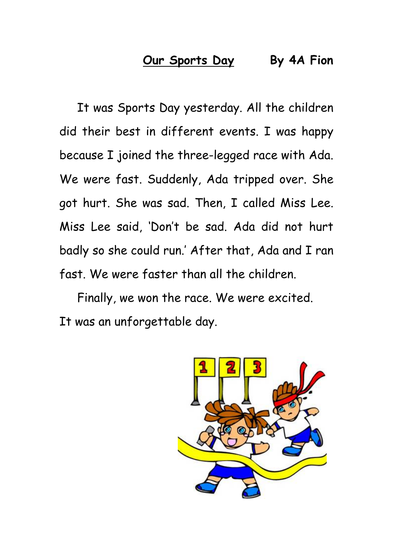## **Our Sports Day By 4A Fion**

It was Sports Day yesterday. All the children did their best in different events. I was happy because I joined the three-legged race with Ada. We were fast. Suddenly, Ada tripped over. She got hurt. She was sad. Then, I called Miss Lee. Miss Lee said, 'Don't be sad. Ada did not hurt badly so she could run.' After that, Ada and I ran fast. We were faster than all the children.

Finally, we won the race. We were excited. It was an unforgettable day.

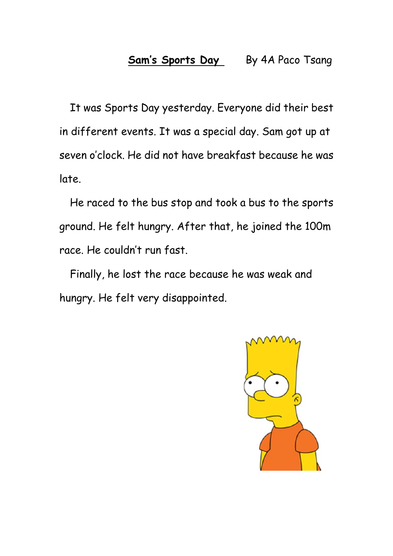It was Sports Day yesterday. Everyone did their best in different events. It was a special day. Sam got up at seven o'clock. He did not have breakfast because he was late.

He raced to the bus stop and took a bus to the sports ground. He felt hungry. After that, he joined the 100m race. He couldn't run fast.

Finally, he lost the race because he was weak and hungry. He felt very disappointed.

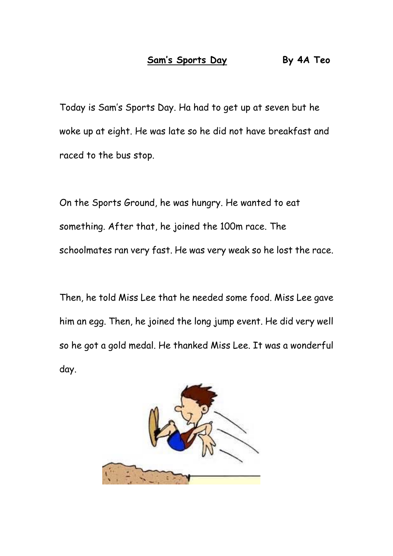Today is Sam's Sports Day. Ha had to get up at seven but he woke up at eight. He was late so he did not have breakfast and raced to the bus stop.

On the Sports Ground, he was hungry. He wanted to eat something. After that, he joined the 100m race. The schoolmates ran very fast. He was very weak so he lost the race.

Then, he told Miss Lee that he needed some food. Miss Lee gave him an egg. Then, he joined the long jump event. He did very well so he got a gold medal. He thanked Miss Lee. It was a wonderful day.

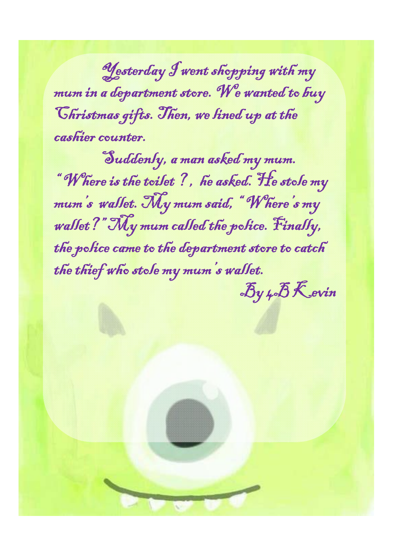Yesterday I went shopping with my mum in a department store. We wanted to buy Christmas gifts. Then, we lined up at the cashier counter.

Suddenly, a man asked my mum. " Where is the toilet ? , he asked. He stole my mum's wallet. My mum said, " Where's my wallet?" My mum called the police. Finally, the police came to the department store to catch the thief who stole my mum's wallet.

 $\mathcal{B}$ y  $4\delta$ Kevin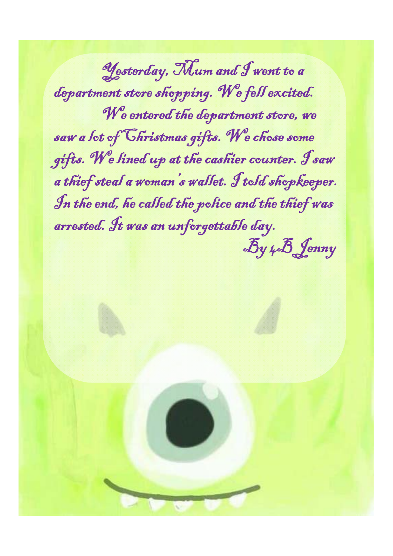Yesterday, Mum and I went to a department store shopping. We fell excited. We entered the department store, we saw a lot of Christmas gifts. We chose some gifts. We lined up at the cashier counter. I saw a thief steal a woman's wallet. I told shopkeeper. In the end, he called the police and the thief was arrested. It was an unforgettable day. By 4B Jenny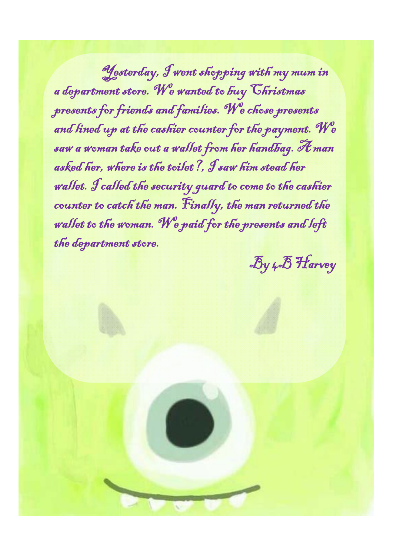Yesterday, I went shopping with my mum in a department store. We wanted to buy Christmas presents for friends and families. We chose presents and lined up at the cashier counter for the payment. We saw a woman take out a wallet from her handbag. A man asked her, where is the toilet?, I saw him stead her wallet. I called the security guard to come to the cashier counter to catch the man. Finally, the man returned the wallet to the woman. We paid for the presents and left the department store.

By 4B Harvey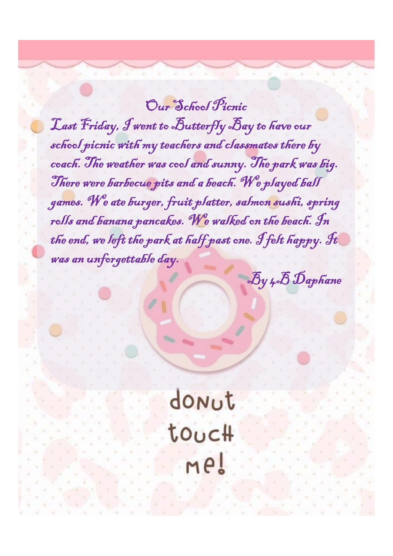Our School Ficnic Last Friday, I went to Butterfly Bay to have our school picnic with my teachers and classmates there by coach. The weather was cool and sunny. The park was big. There were barbecue pits and a beach. We played ball games. We ate burger, fruit platter, salmon sushi, spring rolls and banana pancakes. We walked on the beach. In the end, we left the park at half past one. I felt happy. It was an unforgettable day.

By 4B Daphane

donut touc# Me!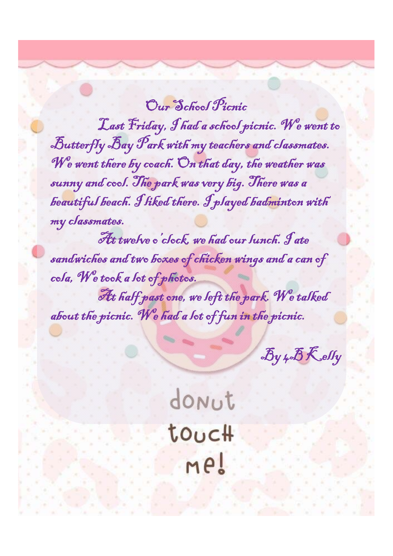Our School Picnic Last Friday, I had a school picnic. We went to Butterfly Bay Park with my teachers and classmates. We went there by coach. On that day, the weather was sunny and cool. The park was very big. There was a beautiful beach. I liked there. I played badminton with my classmates.

At twelve o'clock, we had our lunch. Jate sandwiches and two boxes of chicken wings and a can of cola, We took a lot of photos.

At half past one, we left the park. We talked about the picnic. We had a lot of fun in the picnic.

By 4B Kelly

donut touc# me!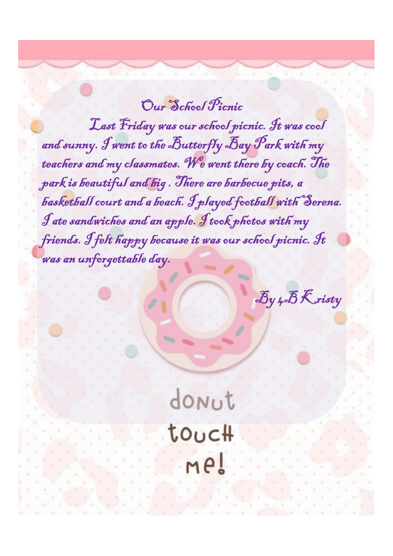Our School Ficnic

Last Friday was our school picnic. It was cool and sunny. I went to the Butterfly Bay Park with my teachers and my classmates. We went there by coach. The park is beautiful and big . There are barbecue pits, a basketball court and a beach. I played football with Serena. I ate sandwiches and an apple. I took photos with my friends. I felt happy because it was our school picnic. It was an unforgettable day.

By 4B Kristy

donut touc# Me!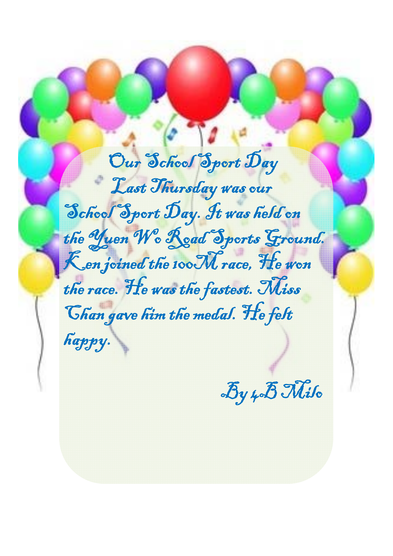Our School Sport Day Last Thursday was our School Sport Day. It was held on the Yuen We Read Sports Ground. Ken joined the 100 M race, He won the race. He was the fastest. Miss Chan gave him the medal. He felt happy.

By 4B Milo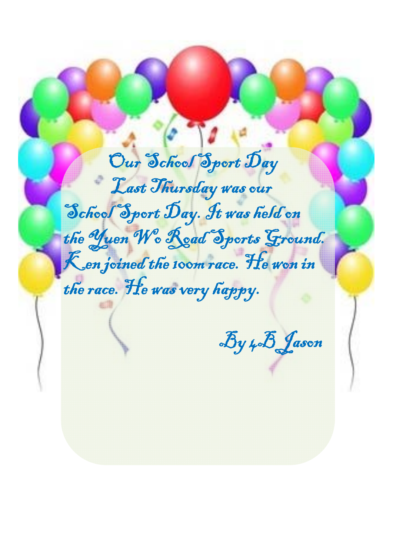Our School Sport Day Last Thursday was our School Sport Day. It was held on the Yuen We Read Sports Ground. Ken joined the 100m race. He won in the race. He was very happy.

By 4B Jason